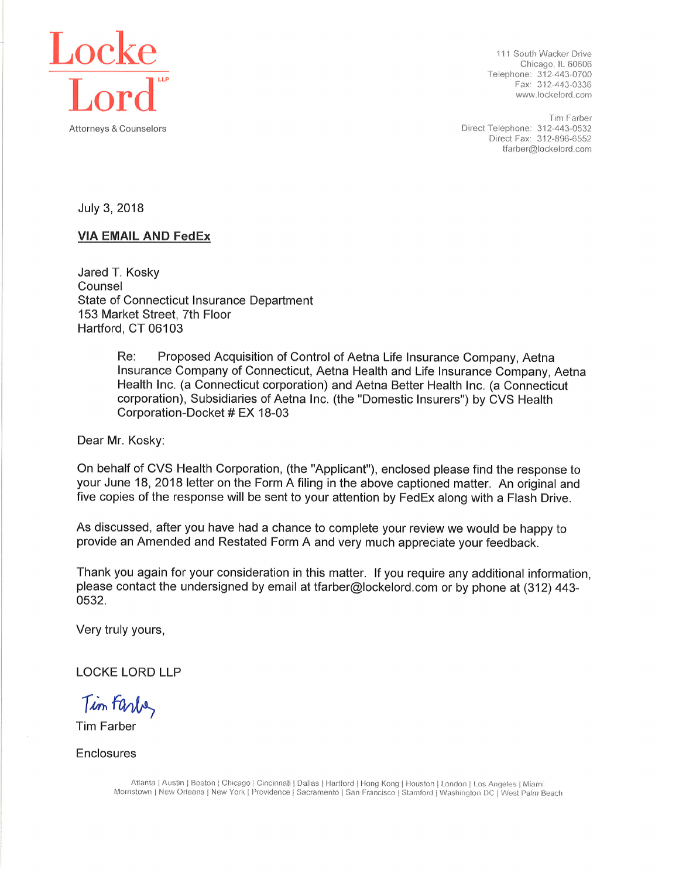

111 South Wacker Drive Chicago, IL 60606 Telephone: 312-443-0700 Fax: 312-443-0336 www.lockelord.com

Tim Farber Direct Telephone: 312-443-0532 Direct Fax: 312-896-6552 tfarber@lockelord.com

July 3, 2018

#### **VIA EMAIL AND FedEx**

Jared T. Kosky Counsel State of Connecticut Insurance Department 153 Market Street, 7th Floor Hartford, CT 06103

> Proposed Acquisition of Control of Aetna Life Insurance Company, Aetna Re: Insurance Company of Connecticut, Aetna Health and Life Insurance Company, Aetna Health Inc. (a Connecticut corporation) and Aetna Better Health Inc. (a Connecticut corporation), Subsidiaries of Aetna Inc. (the "Domestic Insurers") by CVS Health Corporation-Docket # EX 18-03

Dear Mr. Kosky:

On behalf of CVS Health Corporation, (the "Applicant"), enclosed please find the response to your June 18, 2018 letter on the Form A filing in the above captioned matter. An original and five copies of the response will be sent to your attention by FedEx along with a Flash Drive.

As discussed, after you have had a chance to complete your review we would be happy to provide an Amended and Restated Form A and very much appreciate your feedback.

Thank you again for your consideration in this matter. If you require any additional information, please contact the undersigned by email at tfarber@lockelord.com or by phone at (312) 443-0532

Very truly yours,

**LOCKE LORD LLP** 

Tim Farbe,

**Tim Farber** 

Enclosures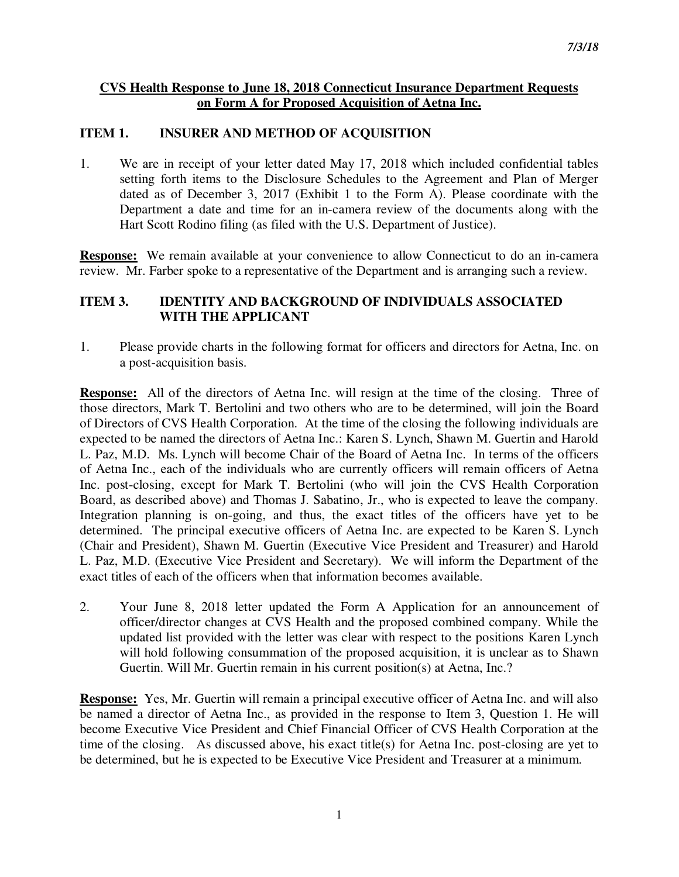#### **CVS Health Response to June 18, 2018 Connecticut Insurance Department Requests on Form A for Proposed Acquisition of Aetna Inc.**

## **ITEM 1. INSURER AND METHOD OF ACQUISITION**

1. We are in receipt of your letter dated May 17, 2018 which included confidential tables setting forth items to the Disclosure Schedules to the Agreement and Plan of Merger dated as of December 3, 2017 (Exhibit 1 to the Form A). Please coordinate with the Department a date and time for an in-camera review of the documents along with the Hart Scott Rodino filing (as filed with the U.S. Department of Justice).

**Response:** We remain available at your convenience to allow Connecticut to do an in-camera review. Mr. Farber spoke to a representative of the Department and is arranging such a review.

## **ITEM 3. IDENTITY AND BACKGROUND OF INDIVIDUALS ASSOCIATED WITH THE APPLICANT**

1. Please provide charts in the following format for officers and directors for Aetna, Inc. on a post-acquisition basis.

**Response:** All of the directors of Aetna Inc. will resign at the time of the closing. Three of those directors, Mark T. Bertolini and two others who are to be determined, will join the Board of Directors of CVS Health Corporation. At the time of the closing the following individuals are expected to be named the directors of Aetna Inc.: Karen S. Lynch, Shawn M. Guertin and Harold L. Paz, M.D. Ms. Lynch will become Chair of the Board of Aetna Inc. In terms of the officers of Aetna Inc., each of the individuals who are currently officers will remain officers of Aetna Inc. post-closing, except for Mark T. Bertolini (who will join the CVS Health Corporation Board, as described above) and Thomas J. Sabatino, Jr., who is expected to leave the company. Integration planning is on-going, and thus, the exact titles of the officers have yet to be determined. The principal executive officers of Aetna Inc. are expected to be Karen S. Lynch (Chair and President), Shawn M. Guertin (Executive Vice President and Treasurer) and Harold L. Paz, M.D. (Executive Vice President and Secretary). We will inform the Department of the exact titles of each of the officers when that information becomes available.

2. Your June 8, 2018 letter updated the Form A Application for an announcement of officer/director changes at CVS Health and the proposed combined company. While the updated list provided with the letter was clear with respect to the positions Karen Lynch will hold following consummation of the proposed acquisition, it is unclear as to Shawn Guertin. Will Mr. Guertin remain in his current position(s) at Aetna, Inc.?

**Response:** Yes, Mr. Guertin will remain a principal executive officer of Aetna Inc. and will also be named a director of Aetna Inc., as provided in the response to Item 3, Question 1. He will become Executive Vice President and Chief Financial Officer of CVS Health Corporation at the time of the closing. As discussed above, his exact title(s) for Aetna Inc. post-closing are yet to be determined, but he is expected to be Executive Vice President and Treasurer at a minimum.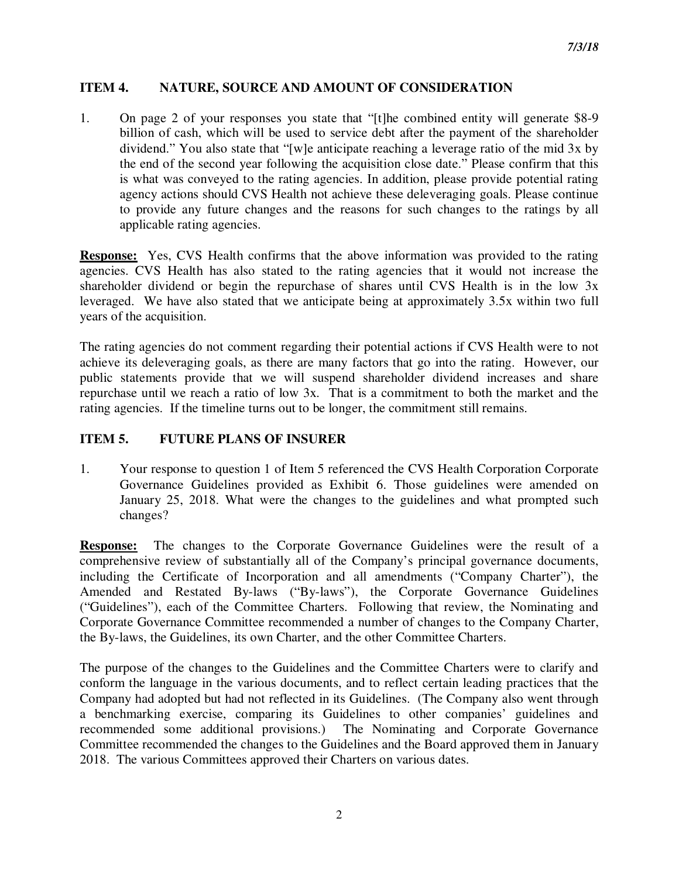## **ITEM 4. NATURE, SOURCE AND AMOUNT OF CONSIDERATION**

1. On page 2 of your responses you state that "[t]he combined entity will generate \$8-9 billion of cash, which will be used to service debt after the payment of the shareholder dividend." You also state that "[w]e anticipate reaching a leverage ratio of the mid 3x by the end of the second year following the acquisition close date." Please confirm that this is what was conveyed to the rating agencies. In addition, please provide potential rating agency actions should CVS Health not achieve these deleveraging goals. Please continue to provide any future changes and the reasons for such changes to the ratings by all applicable rating agencies.

**Response:** Yes, CVS Health confirms that the above information was provided to the rating agencies. CVS Health has also stated to the rating agencies that it would not increase the shareholder dividend or begin the repurchase of shares until CVS Health is in the low 3x leveraged. We have also stated that we anticipate being at approximately 3.5x within two full years of the acquisition.

The rating agencies do not comment regarding their potential actions if CVS Health were to not achieve its deleveraging goals, as there are many factors that go into the rating. However, our public statements provide that we will suspend shareholder dividend increases and share repurchase until we reach a ratio of low 3x. That is a commitment to both the market and the rating agencies. If the timeline turns out to be longer, the commitment still remains.

## **ITEM 5. FUTURE PLANS OF INSURER**

1. Your response to question 1 of Item 5 referenced the CVS Health Corporation Corporate Governance Guidelines provided as Exhibit 6. Those guidelines were amended on January 25, 2018. What were the changes to the guidelines and what prompted such changes?

**Response:** The changes to the Corporate Governance Guidelines were the result of a comprehensive review of substantially all of the Company's principal governance documents, including the Certificate of Incorporation and all amendments ("Company Charter"), the Amended and Restated By-laws ("By-laws"), the Corporate Governance Guidelines ("Guidelines"), each of the Committee Charters. Following that review, the Nominating and Corporate Governance Committee recommended a number of changes to the Company Charter, the By-laws, the Guidelines, its own Charter, and the other Committee Charters.

The purpose of the changes to the Guidelines and the Committee Charters were to clarify and conform the language in the various documents, and to reflect certain leading practices that the Company had adopted but had not reflected in its Guidelines. (The Company also went through a benchmarking exercise, comparing its Guidelines to other companies' guidelines and recommended some additional provisions.) The Nominating and Corporate Governance Committee recommended the changes to the Guidelines and the Board approved them in January 2018. The various Committees approved their Charters on various dates.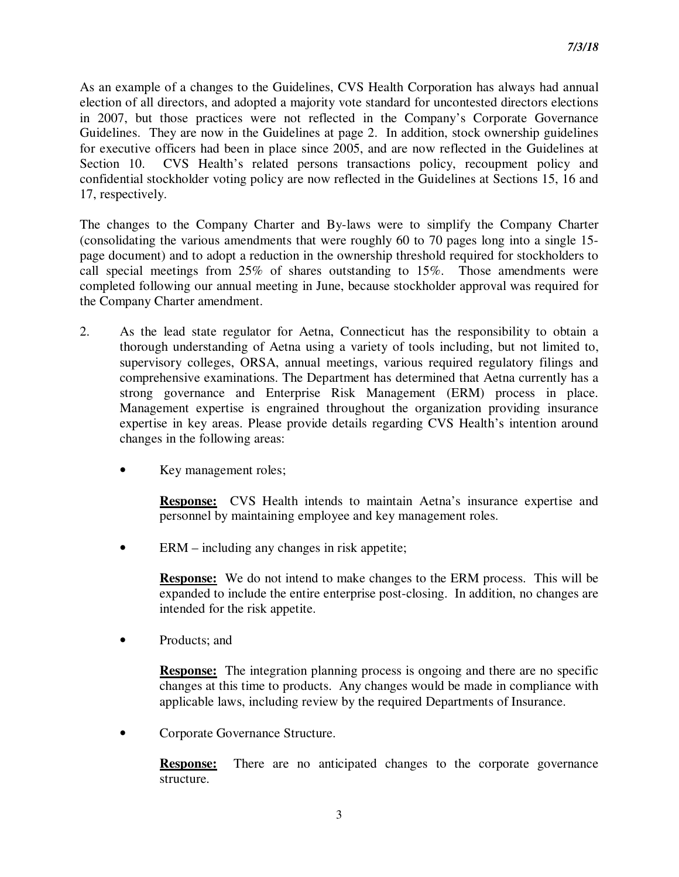As an example of a changes to the Guidelines, CVS Health Corporation has always had annual election of all directors, and adopted a majority vote standard for uncontested directors elections in 2007, but those practices were not reflected in the Company's Corporate Governance Guidelines. They are now in the Guidelines at page 2. In addition, stock ownership guidelines for executive officers had been in place since 2005, and are now reflected in the Guidelines at Section 10. CVS Health's related persons transactions policy, recoupment policy and confidential stockholder voting policy are now reflected in the Guidelines at Sections 15, 16 and 17, respectively.

The changes to the Company Charter and By-laws were to simplify the Company Charter (consolidating the various amendments that were roughly 60 to 70 pages long into a single 15 page document) and to adopt a reduction in the ownership threshold required for stockholders to call special meetings from 25% of shares outstanding to 15%. Those amendments were completed following our annual meeting in June, because stockholder approval was required for the Company Charter amendment.

- 2. As the lead state regulator for Aetna, Connecticut has the responsibility to obtain a thorough understanding of Aetna using a variety of tools including, but not limited to, supervisory colleges, ORSA, annual meetings, various required regulatory filings and comprehensive examinations. The Department has determined that Aetna currently has a strong governance and Enterprise Risk Management (ERM) process in place. Management expertise is engrained throughout the organization providing insurance expertise in key areas. Please provide details regarding CVS Health's intention around changes in the following areas:
	- Key management roles;

**Response:** CVS Health intends to maintain Aetna's insurance expertise and personnel by maintaining employee and key management roles.

ERM – including any changes in risk appetite;

**Response:** We do not intend to make changes to the ERM process. This will be expanded to include the entire enterprise post-closing. In addition, no changes are intended for the risk appetite.

• Products: and

**Response:** The integration planning process is ongoing and there are no specific changes at this time to products. Any changes would be made in compliance with applicable laws, including review by the required Departments of Insurance.

• Corporate Governance Structure.

**Response:** There are no anticipated changes to the corporate governance structure.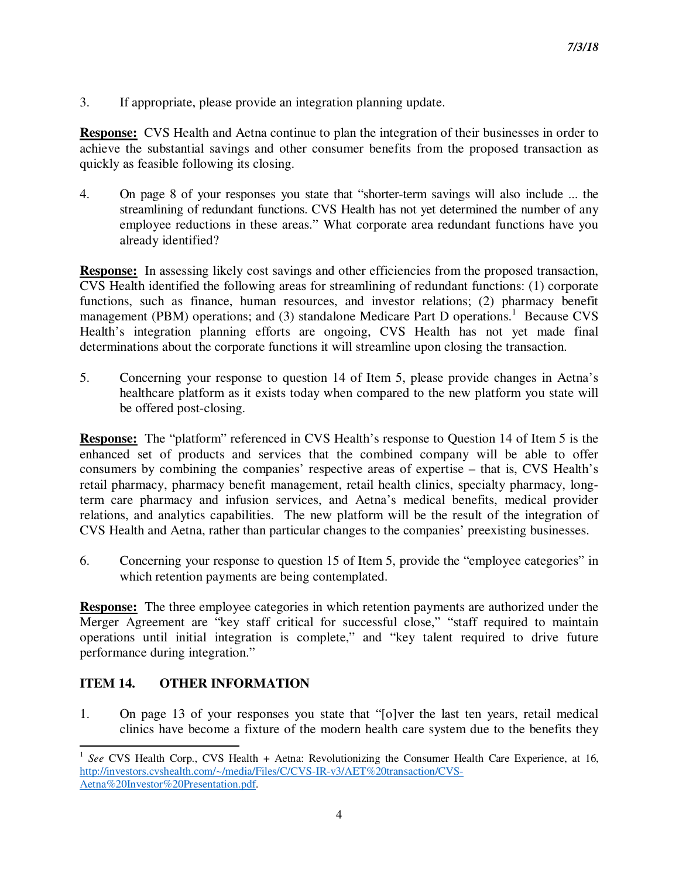3. If appropriate, please provide an integration planning update.

**Response:** CVS Health and Aetna continue to plan the integration of their businesses in order to achieve the substantial savings and other consumer benefits from the proposed transaction as quickly as feasible following its closing.

4. On page 8 of your responses you state that "shorter-term savings will also include ... the streamlining of redundant functions. CVS Health has not yet determined the number of any employee reductions in these areas." What corporate area redundant functions have you already identified?

**Response:** In assessing likely cost savings and other efficiencies from the proposed transaction, CVS Health identified the following areas for streamlining of redundant functions: (1) corporate functions, such as finance, human resources, and investor relations; (2) pharmacy benefit management (PBM) operations; and (3) standalone Medicare Part D operations.<sup>1</sup> Because CVS Health's integration planning efforts are ongoing, CVS Health has not yet made final determinations about the corporate functions it will streamline upon closing the transaction.

5. Concerning your response to question 14 of Item 5, please provide changes in Aetna's healthcare platform as it exists today when compared to the new platform you state will be offered post-closing.

**Response:** The "platform" referenced in CVS Health's response to Question 14 of Item 5 is the enhanced set of products and services that the combined company will be able to offer consumers by combining the companies' respective areas of expertise – that is, CVS Health's retail pharmacy, pharmacy benefit management, retail health clinics, specialty pharmacy, longterm care pharmacy and infusion services, and Aetna's medical benefits, medical provider relations, and analytics capabilities. The new platform will be the result of the integration of CVS Health and Aetna, rather than particular changes to the companies' preexisting businesses.

6. Concerning your response to question 15 of Item 5, provide the "employee categories" in which retention payments are being contemplated.

**Response:** The three employee categories in which retention payments are authorized under the Merger Agreement are "key staff critical for successful close," "staff required to maintain operations until initial integration is complete," and "key talent required to drive future performance during integration."

# **ITEM 14. OTHER INFORMATION**

l

1. On page 13 of your responses you state that "[o]ver the last ten years, retail medical clinics have become a fixture of the modern health care system due to the benefits they

<sup>&</sup>lt;sup>1</sup> See CVS Health Corp., CVS Health + Aetna: Revolutionizing the Consumer Health Care Experience, at 16, http://investors.cvshealth.com/~/media/Files/C/CVS-IR-v3/AET%20transaction/CVS-Aetna%20Investor%20Presentation.pdf.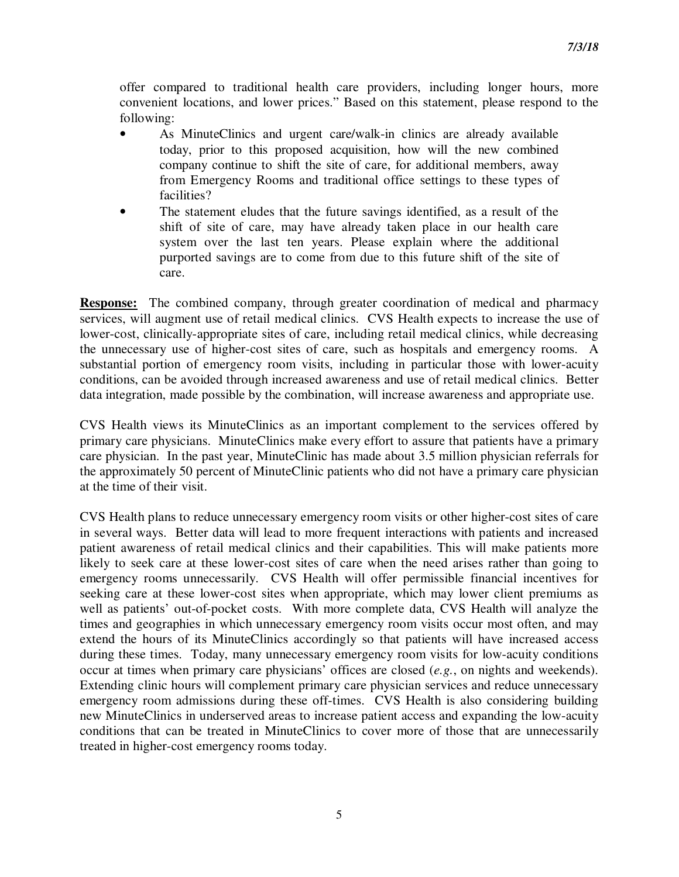offer compared to traditional health care providers, including longer hours, more convenient locations, and lower prices." Based on this statement, please respond to the following:

- As MinuteClinics and urgent care/walk-in clinics are already available today, prior to this proposed acquisition, how will the new combined company continue to shift the site of care, for additional members, away from Emergency Rooms and traditional office settings to these types of facilities?
- The statement eludes that the future savings identified, as a result of the shift of site of care, may have already taken place in our health care system over the last ten years. Please explain where the additional purported savings are to come from due to this future shift of the site of care.

**Response:** The combined company, through greater coordination of medical and pharmacy services, will augment use of retail medical clinics. CVS Health expects to increase the use of lower-cost, clinically-appropriate sites of care, including retail medical clinics, while decreasing the unnecessary use of higher-cost sites of care, such as hospitals and emergency rooms. A substantial portion of emergency room visits, including in particular those with lower-acuity conditions, can be avoided through increased awareness and use of retail medical clinics. Better data integration, made possible by the combination, will increase awareness and appropriate use.

CVS Health views its MinuteClinics as an important complement to the services offered by primary care physicians. MinuteClinics make every effort to assure that patients have a primary care physician. In the past year, MinuteClinic has made about 3.5 million physician referrals for the approximately 50 percent of MinuteClinic patients who did not have a primary care physician at the time of their visit.

CVS Health plans to reduce unnecessary emergency room visits or other higher-cost sites of care in several ways. Better data will lead to more frequent interactions with patients and increased patient awareness of retail medical clinics and their capabilities. This will make patients more likely to seek care at these lower-cost sites of care when the need arises rather than going to emergency rooms unnecessarily. CVS Health will offer permissible financial incentives for seeking care at these lower-cost sites when appropriate, which may lower client premiums as well as patients' out-of-pocket costs. With more complete data, CVS Health will analyze the times and geographies in which unnecessary emergency room visits occur most often, and may extend the hours of its MinuteClinics accordingly so that patients will have increased access during these times. Today, many unnecessary emergency room visits for low-acuity conditions occur at times when primary care physicians' offices are closed (*e.g.*, on nights and weekends). Extending clinic hours will complement primary care physician services and reduce unnecessary emergency room admissions during these off-times. CVS Health is also considering building new MinuteClinics in underserved areas to increase patient access and expanding the low-acuity conditions that can be treated in MinuteClinics to cover more of those that are unnecessarily treated in higher-cost emergency rooms today.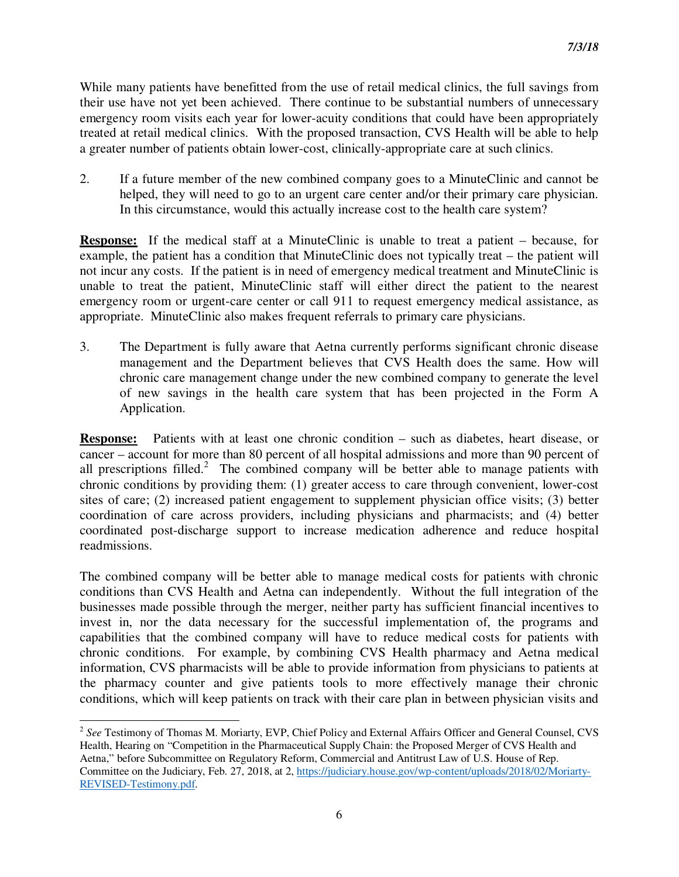While many patients have benefitted from the use of retail medical clinics, the full savings from their use have not yet been achieved. There continue to be substantial numbers of unnecessary emergency room visits each year for lower-acuity conditions that could have been appropriately treated at retail medical clinics. With the proposed transaction, CVS Health will be able to help a greater number of patients obtain lower-cost, clinically-appropriate care at such clinics.

2. If a future member of the new combined company goes to a MinuteClinic and cannot be helped, they will need to go to an urgent care center and/or their primary care physician. In this circumstance, would this actually increase cost to the health care system?

**Response:** If the medical staff at a MinuteClinic is unable to treat a patient – because, for example, the patient has a condition that MinuteClinic does not typically treat – the patient will not incur any costs. If the patient is in need of emergency medical treatment and MinuteClinic is unable to treat the patient, MinuteClinic staff will either direct the patient to the nearest emergency room or urgent-care center or call 911 to request emergency medical assistance, as appropriate. MinuteClinic also makes frequent referrals to primary care physicians.

3. The Department is fully aware that Aetna currently performs significant chronic disease management and the Department believes that CVS Health does the same. How will chronic care management change under the new combined company to generate the level of new savings in the health care system that has been projected in the Form A Application.

**Response:** Patients with at least one chronic condition – such as diabetes, heart disease, or cancer – account for more than 80 percent of all hospital admissions and more than 90 percent of all prescriptions filled.<sup>2</sup> The combined company will be better able to manage patients with chronic conditions by providing them: (1) greater access to care through convenient, lower-cost sites of care; (2) increased patient engagement to supplement physician office visits; (3) better coordination of care across providers, including physicians and pharmacists; and (4) better coordinated post-discharge support to increase medication adherence and reduce hospital readmissions.

The combined company will be better able to manage medical costs for patients with chronic conditions than CVS Health and Aetna can independently. Without the full integration of the businesses made possible through the merger, neither party has sufficient financial incentives to invest in, nor the data necessary for the successful implementation of, the programs and capabilities that the combined company will have to reduce medical costs for patients with chronic conditions. For example, by combining CVS Health pharmacy and Aetna medical information, CVS pharmacists will be able to provide information from physicians to patients at the pharmacy counter and give patients tools to more effectively manage their chronic conditions, which will keep patients on track with their care plan in between physician visits and

 $\overline{a}$ 

<sup>2</sup> *See* Testimony of Thomas M. Moriarty, EVP, Chief Policy and External Affairs Officer and General Counsel, CVS Health, Hearing on "Competition in the Pharmaceutical Supply Chain: the Proposed Merger of CVS Health and Aetna," before Subcommittee on Regulatory Reform, Commercial and Antitrust Law of U.S. House of Rep. Committee on the Judiciary, Feb. 27, 2018, at 2, https://judiciary.house.gov/wp-content/uploads/2018/02/Moriarty-REVISED-Testimony.pdf.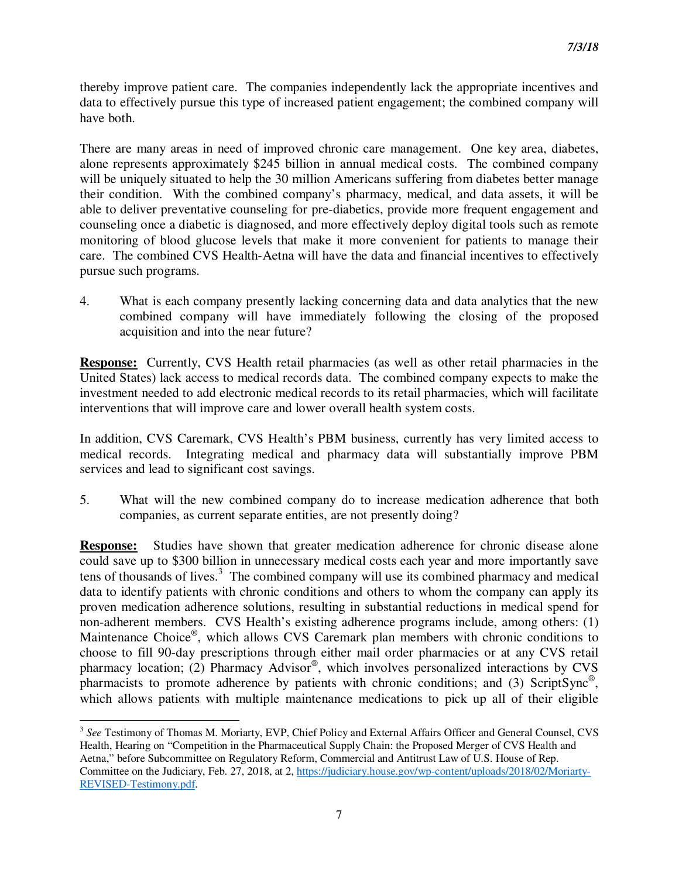thereby improve patient care. The companies independently lack the appropriate incentives and data to effectively pursue this type of increased patient engagement; the combined company will have both.

There are many areas in need of improved chronic care management. One key area, diabetes, alone represents approximately \$245 billion in annual medical costs. The combined company will be uniquely situated to help the 30 million Americans suffering from diabetes better manage their condition. With the combined company's pharmacy, medical, and data assets, it will be able to deliver preventative counseling for pre-diabetics, provide more frequent engagement and counseling once a diabetic is diagnosed, and more effectively deploy digital tools such as remote monitoring of blood glucose levels that make it more convenient for patients to manage their care. The combined CVS Health-Aetna will have the data and financial incentives to effectively pursue such programs.

4. What is each company presently lacking concerning data and data analytics that the new combined company will have immediately following the closing of the proposed acquisition and into the near future?

**Response:** Currently, CVS Health retail pharmacies (as well as other retail pharmacies in the United States) lack access to medical records data. The combined company expects to make the investment needed to add electronic medical records to its retail pharmacies, which will facilitate interventions that will improve care and lower overall health system costs.

In addition, CVS Caremark, CVS Health's PBM business, currently has very limited access to medical records. Integrating medical and pharmacy data will substantially improve PBM services and lead to significant cost savings.

5. What will the new combined company do to increase medication adherence that both companies, as current separate entities, are not presently doing?

**Response:** Studies have shown that greater medication adherence for chronic disease alone could save up to \$300 billion in unnecessary medical costs each year and more importantly save tens of thousands of lives. $3$  The combined company will use its combined pharmacy and medical data to identify patients with chronic conditions and others to whom the company can apply its proven medication adherence solutions, resulting in substantial reductions in medical spend for non-adherent members. CVS Health's existing adherence programs include, among others: (1) Maintenance Choice®, which allows CVS Caremark plan members with chronic conditions to choose to fill 90-day prescriptions through either mail order pharmacies or at any CVS retail pharmacy location; (2) Pharmacy Advisor®, which involves personalized interactions by CVS pharmacists to promote adherence by patients with chronic conditions; and (3) ScriptSync<sup>®</sup>, which allows patients with multiple maintenance medications to pick up all of their eligible

 $\overline{a}$ 

<sup>&</sup>lt;sup>3</sup> See Testimony of Thomas M. Moriarty, EVP, Chief Policy and External Affairs Officer and General Counsel, CVS Health, Hearing on "Competition in the Pharmaceutical Supply Chain: the Proposed Merger of CVS Health and Aetna," before Subcommittee on Regulatory Reform, Commercial and Antitrust Law of U.S. House of Rep. Committee on the Judiciary, Feb. 27, 2018, at 2, https://judiciary.house.gov/wp-content/uploads/2018/02/Moriarty-REVISED-Testimony.pdf.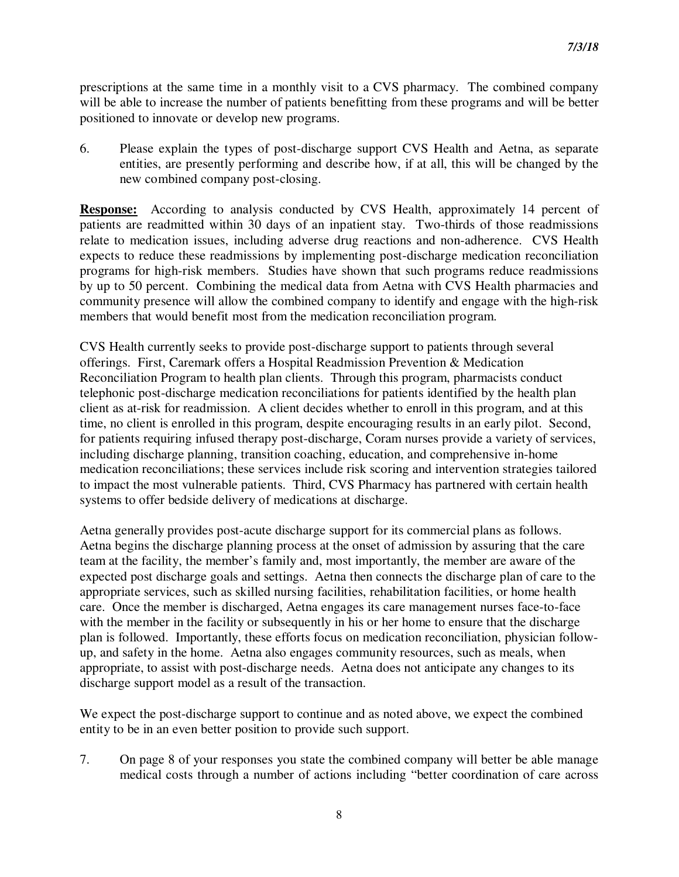prescriptions at the same time in a monthly visit to a CVS pharmacy. The combined company will be able to increase the number of patients benefitting from these programs and will be better positioned to innovate or develop new programs.

6. Please explain the types of post-discharge support CVS Health and Aetna, as separate entities, are presently performing and describe how, if at all, this will be changed by the new combined company post-closing.

**Response:** According to analysis conducted by CVS Health, approximately 14 percent of patients are readmitted within 30 days of an inpatient stay. Two-thirds of those readmissions relate to medication issues, including adverse drug reactions and non-adherence. CVS Health expects to reduce these readmissions by implementing post-discharge medication reconciliation programs for high-risk members. Studies have shown that such programs reduce readmissions by up to 50 percent. Combining the medical data from Aetna with CVS Health pharmacies and community presence will allow the combined company to identify and engage with the high-risk members that would benefit most from the medication reconciliation program.

CVS Health currently seeks to provide post-discharge support to patients through several offerings. First, Caremark offers a Hospital Readmission Prevention & Medication Reconciliation Program to health plan clients. Through this program, pharmacists conduct telephonic post-discharge medication reconciliations for patients identified by the health plan client as at-risk for readmission. A client decides whether to enroll in this program, and at this time, no client is enrolled in this program, despite encouraging results in an early pilot. Second, for patients requiring infused therapy post-discharge, Coram nurses provide a variety of services, including discharge planning, transition coaching, education, and comprehensive in-home medication reconciliations; these services include risk scoring and intervention strategies tailored to impact the most vulnerable patients. Third, CVS Pharmacy has partnered with certain health systems to offer bedside delivery of medications at discharge.

Aetna generally provides post-acute discharge support for its commercial plans as follows. Aetna begins the discharge planning process at the onset of admission by assuring that the care team at the facility, the member's family and, most importantly, the member are aware of the expected post discharge goals and settings. Aetna then connects the discharge plan of care to the appropriate services, such as skilled nursing facilities, rehabilitation facilities, or home health care. Once the member is discharged, Aetna engages its care management nurses face-to-face with the member in the facility or subsequently in his or her home to ensure that the discharge plan is followed. Importantly, these efforts focus on medication reconciliation, physician followup, and safety in the home. Aetna also engages community resources, such as meals, when appropriate, to assist with post-discharge needs. Aetna does not anticipate any changes to its discharge support model as a result of the transaction.

We expect the post-discharge support to continue and as noted above, we expect the combined entity to be in an even better position to provide such support.

7. On page 8 of your responses you state the combined company will better be able manage medical costs through a number of actions including "better coordination of care across